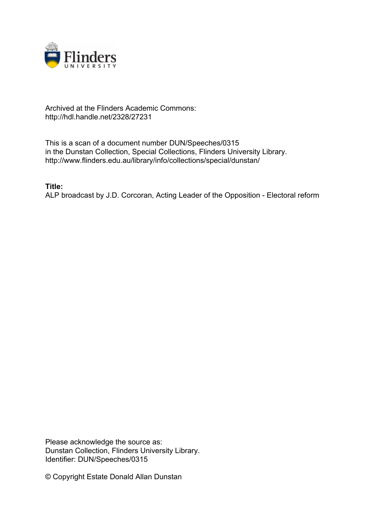

## Archived at the Flinders Academic Commons: http://hdl.handle.net/2328/27231

This is a scan of a document number DUN/Speeches/0315 in the Dunstan Collection, Special Collections, Flinders University Library. http://www.flinders.edu.au/library/info/collections/special/dunstan/

**Title:**

ALP broadcast by J.D. Corcoran, Acting Leader of the Opposition - Electoral reform

Please acknowledge the source as: Dunstan Collection, Flinders University Library. Identifier: DUN/Speeches/0315

© Copyright Estate Donald Allan Dunstan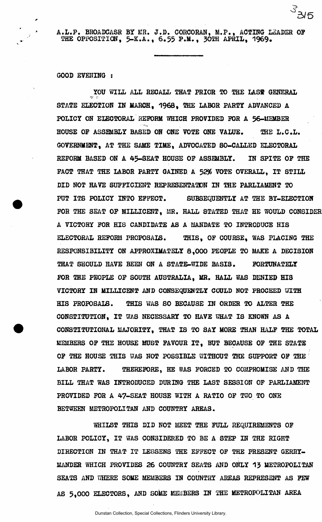**A.L.P. BHOADCASH BY MH. J.D. CORCORAN, M.P., ACTING LEADER OF THE OPPOSITION, 5-K.A., 6,55 P.M., 30TH APRIL, 1969.** 

**s\*** 

**3 / 5** 

**GOOD EVEHING** *t* 

YOU WILL ALL RECALL THAT PRIOR TO THE LAST GENERAL **STATE ELECTION IN MARCH, 1968, THE LABOR PARTY ADVANCED A**  POLICY ON ELECTORAL REFORM WHICH PROVIDED FOR A 56-MEMBER **HOUSE OF ASSEMBLY BASED ON ONE VOTE ONE VALUE. THE L.C.L. GOVERNMENT, AT THE SAME TIME, ADVOCATED SO-CALLED ELECTORAL REFORM BASED ON A 45-SEAT HOUSE OF ASSEMBLY. IN SPITE OF THE**  FACT THAT THE LABOR PARTY GAINED A 52% VOTE OVERALL. IT STILL **DID NOT HAVE SUFFICIENT REPRESENTATION IN THE PARLIAMENT TO**  PUT ITS POLICY INTO EFFECT. SUBSEQUENTLY AT THE BY-ELECTION **FOR THE SEAT OF MILLICENT, MR. HALL STATED THAT HE WOULD CONSIDER A VICTORY FOR HIS CANDIDATE AS A MANDATE TO INTRODUCE HIS**  ELECTORAL REFORM PROPOSAIS. THIS, OF COURSE, WAS PLACING THE **RESPONSIBILITY ON APPROXIMATELY 8,000 PEOPLE TO MAKE A DECISION THAT SHOULD HAVE BEEN ON A STATE-WIDE BASIS. FORTUNATELY FOR THE PEOPLE OF SOUTH AUSTRALIA, MR. HALL WAS DENIED HIS VICTORY IN MILLICENT AND CONSEQUENTLY COULD NOT PROCEED OTTH HIS PROPOSALS. THIS WAS SO BECAUSE IN ORDER TO ALTER THE CONSTITUTION, IT WAS NECESSARY TO HAVE UHAT IS KNOWN AS A CONSTITUTIONAL MAJORITY, THAT IS TO SAY MORE THAN HALF THE TOTAL MEMBERS OF THE HOUSE MUST FAVOUR IT, BUT BECAUSE OF THE STATE OF THE HOUSE THIS WAS NOT POSSIBLE WITHOUT THE SUPPORT OF THE**  LABOR PARTY. THEREFORE, HE WAS FORCED TO COMPROMISE AND THE **BILL THAT WAS INTRODUCED DURING THE LAST SESSION 0F PARLIAMENT PROVIDED FOR A 47-SEAT HOUSE WITH A RATIO OF** *TW* **TO ONE BETWEEN METROPOLITAN AND COUNTRY AREAS.** 

**WHILST THIS DID NOT MEET THE FULL REQUIREMENTS OF LABOR POLICY, IT WAS CONSIDERED TO BE A STEP IN THE RIGHT DIRECTION IN THAT IT LESSENS THE EFFECT OF THE PRESENT GERRY-MANDER WHICH PROVIDES 26 COUNTRY SEATS AND ONLY 13 METROPOLITAN SEATS AND iHHERE SOME MEMBERS IN COUNTRY AREAS REPRESENT AS FEW AS 5,000 ELECTORS, AND SOUS MEMBERS IN THE METROPOLITAN AREA**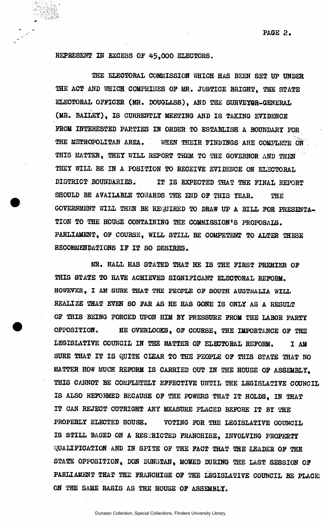## **REPRESENT IN EXCESS OF 45,000 ELECTORS.**

THE ELECTORAL COMMISSION WHICH HAS BEEN SET UP UNDER **THE ACT AND WHICH COMPRISES OF MR. JUSTICE BRIGHT, THE STATE ELECTORAL OFFICER (MR. DOUGLASS), AND THE SURVEYOR-GENERAL (MR. BAILEY), IS CURRENTLY MEETING AND IS TAKING EVIDENCE FROM INTERESTED PARTIES IN ORDER TO ESTABLISH A BOUNDARY FOR THE METROPOLITAN AREA. WHEN THEIR FINDINGS ARE COMPLETE ON THIS MATTER, THEY WILL REPORT THEM TO THE GOVERNOR AND THEN THEY WILL BE IN A POSITION TO RECEIVE EVIDENCE ON ELECTORAL DISTRICT BOUNDARIES. IT IS EXPECTED THAT THE FINAL REPORT**  SHOULD BE AVAILABLE TOWARDS THE END OF THIS YEAR. THE **GOVERNMENT WILL THEN BE REQUIRED TO DRAW UP A BILL FOR PRESENTA-TION TO THE HOUSE CONTAINING THE COMMISSION'S PROPOSALS. PARLIAMENT, OF COURSE, WILL STILL BE COMPETENT TO ALTER THESE RECOMMENDATIONS IF IT SO DESIRES.** 

**MR. HALL HAS STATED THAT HE IS THE FIRST PREMIER OF THIS STATE TO HAVE ACHIEVED SIGNIFICANT ELECTORAL REFORM. HOWEVER, I AM SURE THAT THE PEOPLE OF SOUTH AUSTRALIA WILL REALIZE THAT EVEN SO FAR AS HE HAS GONE IS ONLY AS A RESULT OF THIS BEING FORCED UPON HIM BY PRESSURE FROM THE LABOR PARTY OPPOSITION. HE OVERLOOKS, OF COURSE, THE IMPORTANCE OF THE LEGISLATIVE COUNCIL IN THE MATTER OF ELECTORAL REFORM. I AM SURE THAT IT IS QUITE CLEAR TO THE PEOPLE OF THIS STATE THAT NO MATTER HOW MUCH REFORM IS CARRIED OUT IN THE HOUSE OF ASSEMBLY, THIS CANNOT BE COMPLETELY EFFECTIVE UNTIL THE LEGISLATIVE COUNCIL IS ALSO REFORMED BECAUSE OF THE POWERS THAT IT HOLDS, IN THAT IT CAN REJECT OUTRIGHT ANY MEASURE PLACED BEFORE IT BY THE PROPERLY ELECTED HOUSE. VOTING FOR THE LEGISLATIVE COUNCIL**  IS STILL BASED ON A RESTRICTED FRANCHISE, INVOLVING PROPERTY QUALIFICATION AND IN SPITE OF THE FACT THAT THE LEADER OF THE STATE OPPOSITION, DON DUNGTAN, MOWED DURING THE LAST SESSION OF **PARLIAMENT THAT THE FRANCHISE OF THE LEGISLATIVE COUNCIL BE PLACE] ON THE SAME BASIS AS THE HOUSE OF ASSEMBLY.**